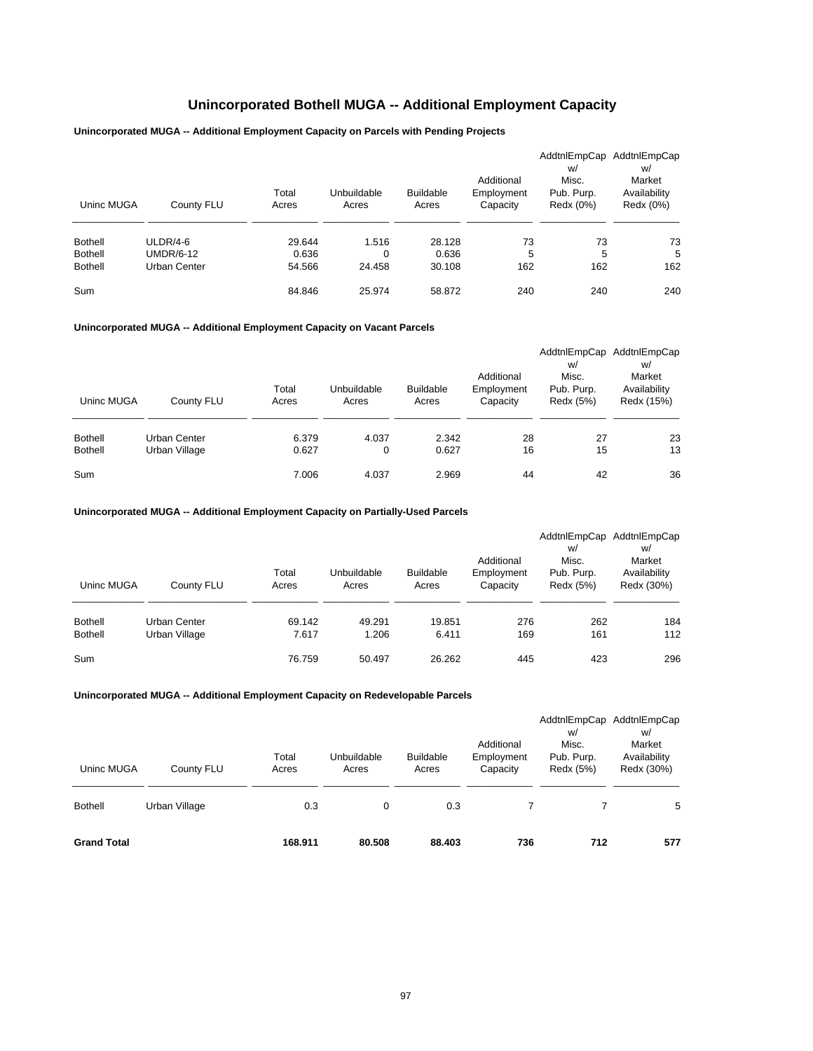## **Unincorporated Bothell MUGA -- Additional Employment Capacity**

## **Unincorporated MUGA -- Additional Employment Capacity on Parcels with Pending Projects**

| Uninc MUGA     | County FLU       | Total<br>Acres | Unbuildable<br>Acres | <b>Buildable</b><br>Acres | Additional<br>Employment<br>Capacity | W/<br>Misc.<br>Pub. Purp.<br>Redx (0%) | AddtnlEmpCap AddtnlEmpCap<br>W/<br>Market<br>Availability<br>Redx (0%) |
|----------------|------------------|----------------|----------------------|---------------------------|--------------------------------------|----------------------------------------|------------------------------------------------------------------------|
| <b>Bothell</b> | ULDR/4-6         | 29.644         | 1.516                | 28.128                    | 73                                   | 73                                     | 73                                                                     |
| <b>Bothell</b> | <b>UMDR/6-12</b> | 0.636          | 0                    | 0.636                     | 5                                    | 5                                      | 5                                                                      |
| <b>Bothell</b> | Urban Center     | 54.566         | 24.458               | 30.108                    | 162                                  | 162                                    | 162                                                                    |
| Sum            |                  | 84.846         | 25.974               | 58.872                    | 240                                  | 240                                    | 240                                                                    |

## **Unincorporated MUGA -- Additional Employment Capacity on Vacant Parcels**

|                |               |                |                      |                           |                        | AddtnlEmpCap            | AddtnlEmpCap               |
|----------------|---------------|----------------|----------------------|---------------------------|------------------------|-------------------------|----------------------------|
|                |               |                |                      |                           |                        | w/                      | W/                         |
|                |               |                |                      |                           | Additional             | Misc.                   | Market                     |
| Uninc MUGA     | County FLU    | Total<br>Acres | Unbuildable<br>Acres | <b>Buildable</b><br>Acres | Employment<br>Capacity | Pub. Purp.<br>Redx (5%) | Availability<br>Redx (15%) |
|                |               |                |                      |                           |                        |                         |                            |
| <b>Bothell</b> | Urban Center  | 6.379          | 4.037                | 2.342                     | 28                     | 27                      | 23                         |
| <b>Bothell</b> | Urban Village | 0.627          | 0                    | 0.627                     | 16                     | 15                      | 13                         |
| Sum            |               | 7.006          | 4.037                | 2.969                     | 44                     | 42                      | 36                         |

### **Unincorporated MUGA -- Additional Employment Capacity on Partially-Used Parcels**

| Uninc MUGA     | County FLU    | Total<br>Acres | Unbuildable<br>Acres | <b>Buildable</b><br>Acres | Additional<br>Employment<br>Capacity | w/<br>Misc.<br>Pub. Purp.<br>Redx (5%) | AddtnlEmpCap AddtnlEmpCap<br>w/<br>Market<br>Availability<br>Redx (30%) |
|----------------|---------------|----------------|----------------------|---------------------------|--------------------------------------|----------------------------------------|-------------------------------------------------------------------------|
| <b>Bothell</b> | Urban Center  | 69.142         | 49.291               | 19.851                    | 276                                  | 262                                    | 184                                                                     |
| <b>Bothell</b> | Urban Village | 7.617          | 1.206                | 6.411                     | 169                                  | 161                                    | 112                                                                     |
| Sum            |               | 76.759         | 50.497               | 26.262                    | 445                                  | 423                                    | 296                                                                     |

| <b>Grand Total</b> |               | 168.911        | 80,508               | 88,403                    | 736                                  | 712                                    | 577                                                                     |
|--------------------|---------------|----------------|----------------------|---------------------------|--------------------------------------|----------------------------------------|-------------------------------------------------------------------------|
| <b>Bothell</b>     | Urban Village | 0.3            | 0                    | 0.3                       |                                      |                                        | 5                                                                       |
| Uninc MUGA         | County FLU    | Total<br>Acres | Unbuildable<br>Acres | <b>Buildable</b><br>Acres | Additional<br>Employment<br>Capacity | w/<br>Misc.<br>Pub. Purp.<br>Redx (5%) | AddtnlEmpCap AddtnlEmpCap<br>w/<br>Market<br>Availability<br>Redx (30%) |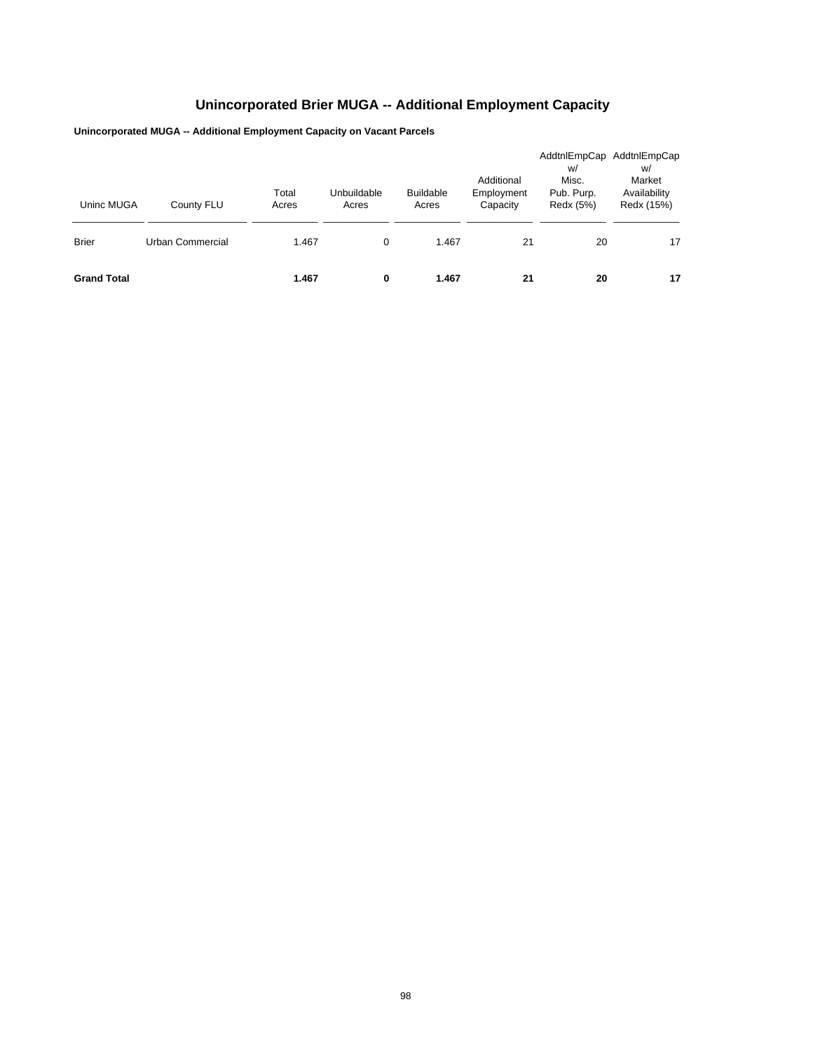# **Unincorporated Brier MUGA -- Additional Employment Capacity**

**Unincorporated MUGA -- Additional Employment Capacity on Vacant Parcels**

| Uninc MUGA         | County FLU       | Total<br>Acres | Unbuildable<br>Acres | <b>Buildable</b><br>Acres | Additional<br>Employment<br>Capacity | w/<br>Misc.<br>Pub. Purp.<br>Redx (5%) | AddtnlEmpCap AddtnlEmpCap<br>w/<br>Market<br>Availability<br>Redx (15%) |
|--------------------|------------------|----------------|----------------------|---------------------------|--------------------------------------|----------------------------------------|-------------------------------------------------------------------------|
| <b>Brier</b>       | Urban Commercial | 1.467          | 0                    | 1.467                     | 21                                   | 20                                     | 17                                                                      |
| <b>Grand Total</b> |                  | 1.467          | 0                    | 1.467                     | 21                                   | 20                                     | 17                                                                      |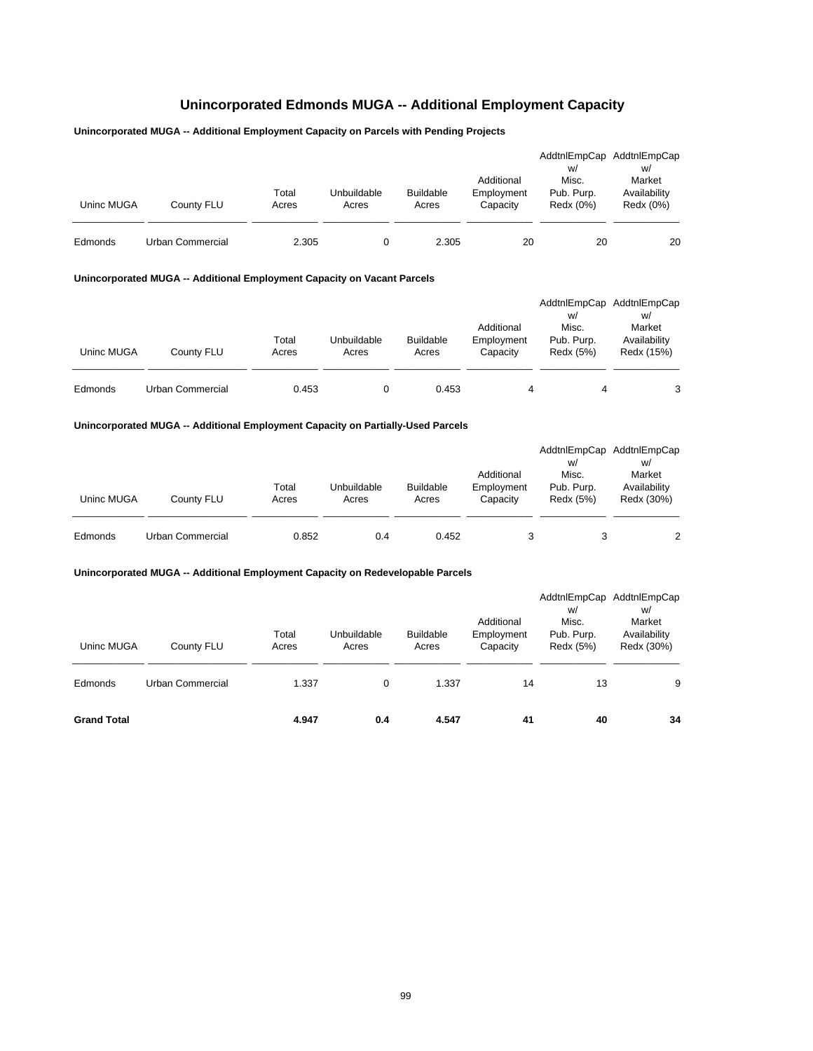## **Unincorporated Edmonds MUGA -- Additional Employment Capacity**

## **Unincorporated MUGA -- Additional Employment Capacity on Parcels with Pending Projects**

| Uninc MUGA | County FLU       | Total<br>Acres | Unbuildable<br>Acres | <b>Buildable</b><br>Acres | Additional<br>Employment<br>Capacity | W/<br>Misc.<br>Pub. Purp.<br>Redx (0%) | AddtnlEmpCap AddtnlEmpCap<br>W/<br>Market<br>Availability<br>Redx (0%) |
|------------|------------------|----------------|----------------------|---------------------------|--------------------------------------|----------------------------------------|------------------------------------------------------------------------|
| Edmonds    | Urban Commercial | 2.305          |                      | 2.305                     | 20                                   | 20                                     | 20                                                                     |

### **Unincorporated MUGA -- Additional Employment Capacity on Vacant Parcels**

| Uninc MUGA | County FLU       | Total<br>Acres | Unbuildable<br>Acres | <b>Buildable</b><br>Acres | Additional<br>Employment<br>Capacity | W/<br>Misc.<br>Pub. Purp.<br>Redx (5%) | AddtnlEmpCap AddtnlEmpCap<br>W/<br>Market<br>Availability<br>Redx (15%) |
|------------|------------------|----------------|----------------------|---------------------------|--------------------------------------|----------------------------------------|-------------------------------------------------------------------------|
| Edmonds    | Urban Commercial | 0.453          | 0                    | 0.453                     | 4                                    | 4                                      | 3                                                                       |

## **Unincorporated MUGA -- Additional Employment Capacity on Partially-Used Parcels**

| Uninc MUGA | County FLU       | Total<br>Acres | Unbuildable<br>Acres | <b>Buildable</b><br>Acres | Additional<br>Employment<br>Capacity | W/<br>Misc.<br>Pub. Purp.<br>Redx (5%) | AddtnlEmpCap AddtnlEmpCap<br>W/<br>Market<br>Availability<br>Redx (30%) |
|------------|------------------|----------------|----------------------|---------------------------|--------------------------------------|----------------------------------------|-------------------------------------------------------------------------|
| Edmonds    | Urban Commercial | 0.852          | 0.4                  | 0.452                     | 3                                    |                                        | 2                                                                       |

| Uninc MUGA         | County FLU       | Total<br>Acres | Unbuildable<br>Acres | <b>Buildable</b><br>Acres | Additional<br>Employment<br>Capacity | w/<br>Misc.<br>Pub. Purp.<br>Redx (5%) | AddtnlEmpCap AddtnlEmpCap<br>W/<br>Market<br>Availability<br>Redx (30%) |
|--------------------|------------------|----------------|----------------------|---------------------------|--------------------------------------|----------------------------------------|-------------------------------------------------------------------------|
| Edmonds            | Urban Commercial | 1.337          | 0                    | 1.337                     | 14                                   | 13                                     | 9                                                                       |
| <b>Grand Total</b> |                  | 4.947          | 0.4                  | 4.547                     | 41                                   | 40                                     | 34                                                                      |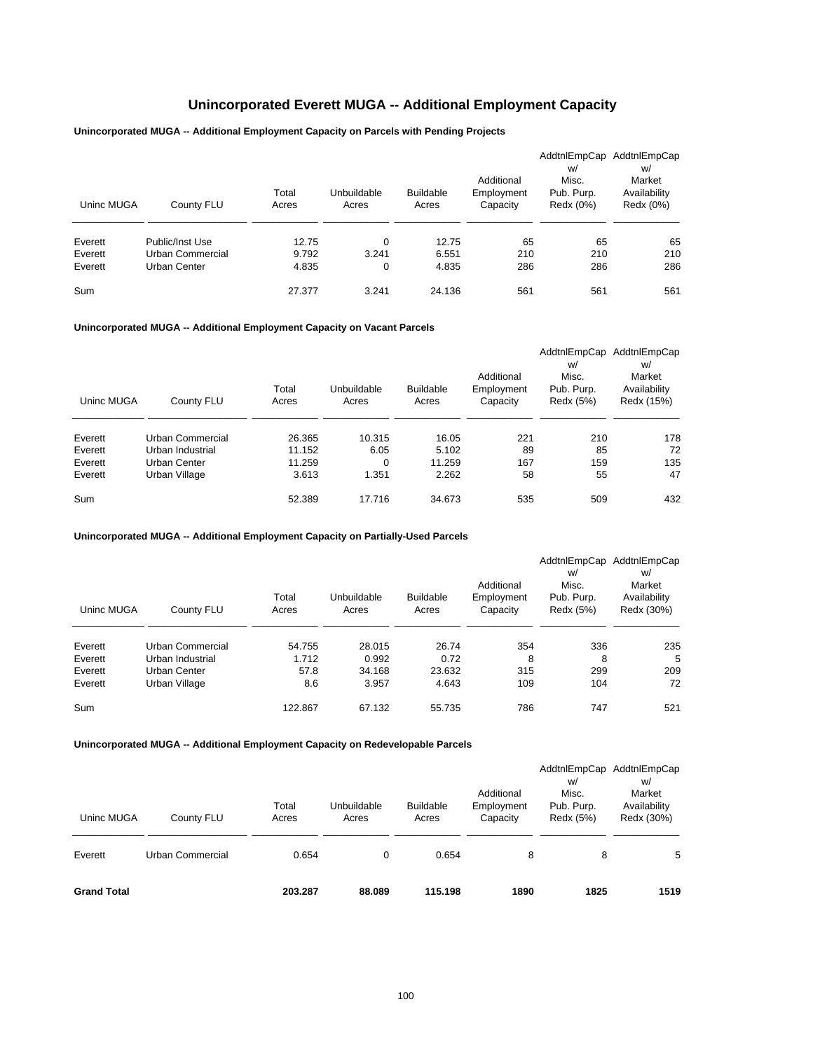## **Unincorporated Everett MUGA -- Additional Employment Capacity**

## **Unincorporated MUGA -- Additional Employment Capacity on Parcels with Pending Projects**

| Uninc MUGA         | County FLU                                          | Total<br>Acres          | Unbuildable<br>Acres | <b>Buildable</b><br>Acres | Additional<br>Employment<br>Capacity | AddtnlEmpCap<br>W/<br>Misc.<br>Pub. Purp.<br>Redx (0%) | AddtnlEmpCap<br>w/<br>Market<br>Availability<br>Redx (0%) |
|--------------------|-----------------------------------------------------|-------------------------|----------------------|---------------------------|--------------------------------------|--------------------------------------------------------|-----------------------------------------------------------|
| Everett<br>Everett | Public/Inst Use<br>Urban Commercial<br>Urban Center | 12.75<br>9.792<br>4.835 | 0<br>3.241           | 12.75<br>6.551<br>4.835   | 65<br>210<br>286                     | 65<br>210<br>286                                       | 65<br>210<br>286                                          |
| Everett<br>Sum     |                                                     | 27.377                  | 0<br>3.241           | 24.136                    | 561                                  | 561                                                    | 561                                                       |

## **Unincorporated MUGA -- Additional Employment Capacity on Vacant Parcels**

|            |                  |        |             |                  |            | AddtnlEmpCap | AddtnlEmpCap |
|------------|------------------|--------|-------------|------------------|------------|--------------|--------------|
|            |                  |        |             |                  |            | w/           | w/           |
|            |                  |        |             |                  | Additional | Misc.        | Market       |
|            |                  | Total  | Unbuildable | <b>Buildable</b> | Employment | Pub. Purp.   | Availability |
| Uninc MUGA | County FLU       | Acres  | Acres       | Acres            | Capacity   | Redx (5%)    | Redx (15%)   |
|            |                  |        |             |                  |            |              |              |
| Everett    | Urban Commercial | 26.365 | 10.315      | 16.05            | 221        | 210          | 178          |
| Everett    | Urban Industrial | 11.152 | 6.05        | 5.102            | 89         | 85           | 72           |
| Everett    | Urban Center     | 11.259 | 0           | 11.259           | 167        | 159          | 135          |
| Everett    | Urban Village    | 3.613  | 1.351       | 2.262            | 58         | 55           | 47           |
| Sum        |                  | 52.389 | 17.716      | 34.673           | 535        | 509          | 432          |

#### **Unincorporated MUGA -- Additional Employment Capacity on Partially-Used Parcels**

|            |                  |         |             |                  |            | AddtnlEmpCap | AddtnlEmpCap |
|------------|------------------|---------|-------------|------------------|------------|--------------|--------------|
|            |                  |         |             |                  |            | w/           | w/           |
|            |                  |         |             |                  | Additional | Misc.        | Market       |
|            |                  | Total   | Unbuildable | <b>Buildable</b> | Employment | Pub. Purp.   | Availability |
| Uninc MUGA | County FLU       | Acres   | Acres       | Acres            | Capacity   | Redx (5%)    | Redx (30%)   |
|            |                  |         |             |                  |            |              |              |
| Everett    | Urban Commercial | 54.755  | 28.015      | 26.74            | 354        | 336          | 235          |
| Everett    | Urban Industrial | 1.712   | 0.992       | 0.72             | 8          | 8            | 5            |
| Everett    | Urban Center     | 57.8    | 34.168      | 23.632           | 315        | 299          | 209          |
| Everett    | Urban Village    | 8.6     | 3.957       | 4.643            | 109        | 104          | 72           |
| Sum        |                  | 122.867 | 67.132      | 55.735           | 786        | 747          | 521          |

| Uninc MUGA         | County FLU       | Total<br>Acres | Unbuildable<br>Acres | <b>Buildable</b><br>Acres | Additional<br>Employment<br>Capacity | w/<br>Misc.<br>Pub. Purp.<br>Redx (5%) | AddtnlEmpCap AddtnlEmpCap<br>w/<br>Market<br>Availability<br>Redx (30%) |
|--------------------|------------------|----------------|----------------------|---------------------------|--------------------------------------|----------------------------------------|-------------------------------------------------------------------------|
| Everett            | Urban Commercial | 0.654          | 0                    | 0.654                     | 8                                    | 8                                      | 5                                                                       |
| <b>Grand Total</b> |                  | 203.287        | 88.089               | 115.198                   | 1890                                 | 1825                                   | 1519                                                                    |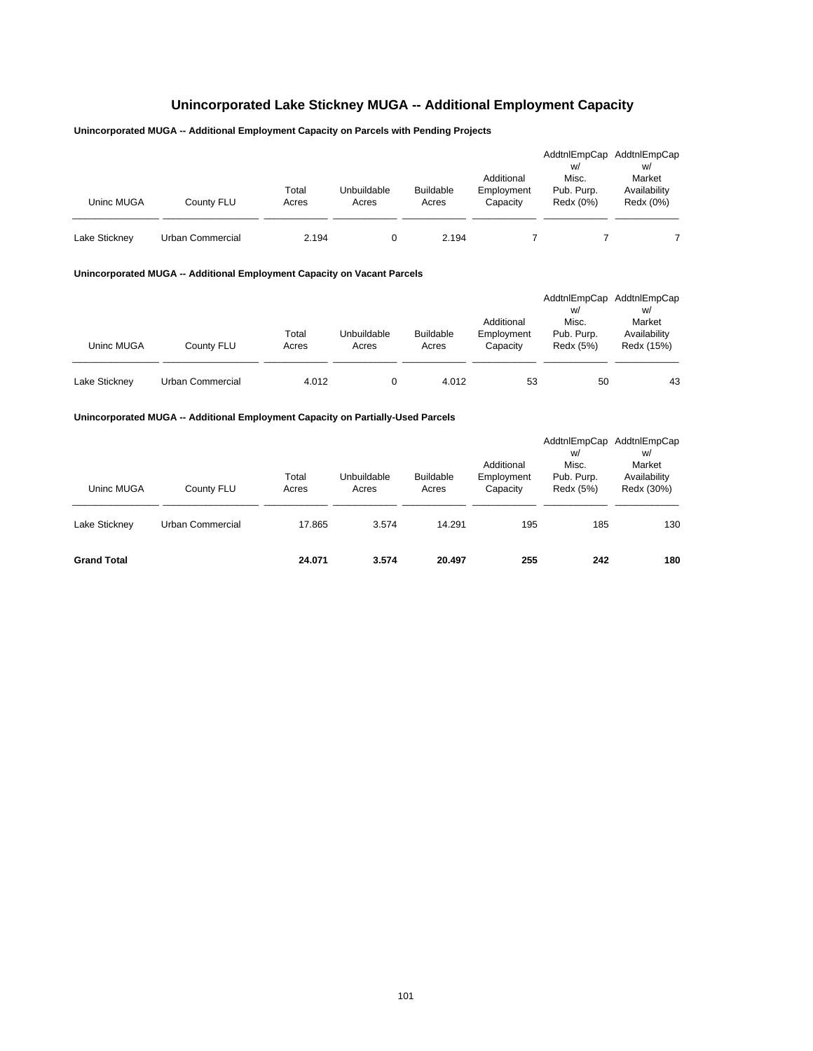# **Unincorporated Lake Stickney MUGA -- Additional Employment Capacity**

## **Unincorporated MUGA -- Additional Employment Capacity on Parcels with Pending Projects**

| Uninc MUGA    | County FLU       | Total<br>Acres | Unbuildable<br>Acres | <b>Buildable</b><br>Acres | Additional<br>Employment<br>Capacity | AddtnlEmpCap<br>W/<br>Misc.<br>Pub. Purp.<br>Redx (0%) | AddtnlEmpCap<br>W/<br>Market<br>Availability<br>Redx (0%) |
|---------------|------------------|----------------|----------------------|---------------------------|--------------------------------------|--------------------------------------------------------|-----------------------------------------------------------|
| Lake Stickney | Urban Commercial | 2.194          |                      | 2.194                     |                                      |                                                        |                                                           |

#### **Unincorporated MUGA -- Additional Employment Capacity on Vacant Parcels**

| Uninc MUGA    | County FLU       | Total<br>Acres | Unbuildable<br>Acres | <b>Buildable</b><br>Acres | Additional<br>Employment<br>Capacity | AddtnlEmpCap<br>W/<br>Misc.<br>Pub. Purp.<br>Redx (5%) | AddtnlEmpCap<br>W/<br>Market<br>Availability<br>Redx (15%) |
|---------------|------------------|----------------|----------------------|---------------------------|--------------------------------------|--------------------------------------------------------|------------------------------------------------------------|
| Lake Stickney | Urban Commercial | 4.012          |                      | 4.012                     | 53                                   | 50                                                     | 43                                                         |

### **Unincorporated MUGA -- Additional Employment Capacity on Partially-Used Parcels**

| Uninc MUGA<br>Lake Stickney | County FLU<br>Urban Commercial | Total<br>Acres<br>17.865 | Unbuildable<br>Acres<br>3.574 | <b>Buildable</b><br>Acres<br>14.291 | Additional<br>Employment<br>Capacity<br>195 | AddtnlEmpCap<br>W/<br>Misc.<br>Pub. Purp.<br>Redx (5%)<br>185 | AddtnlEmpCap<br>w/<br>Market<br>Availability<br>Redx (30%)<br>130 |
|-----------------------------|--------------------------------|--------------------------|-------------------------------|-------------------------------------|---------------------------------------------|---------------------------------------------------------------|-------------------------------------------------------------------|
| <b>Grand Total</b>          |                                | 24.071                   | 3.574                         | 20.497                              | 255                                         | 242                                                           | 180                                                               |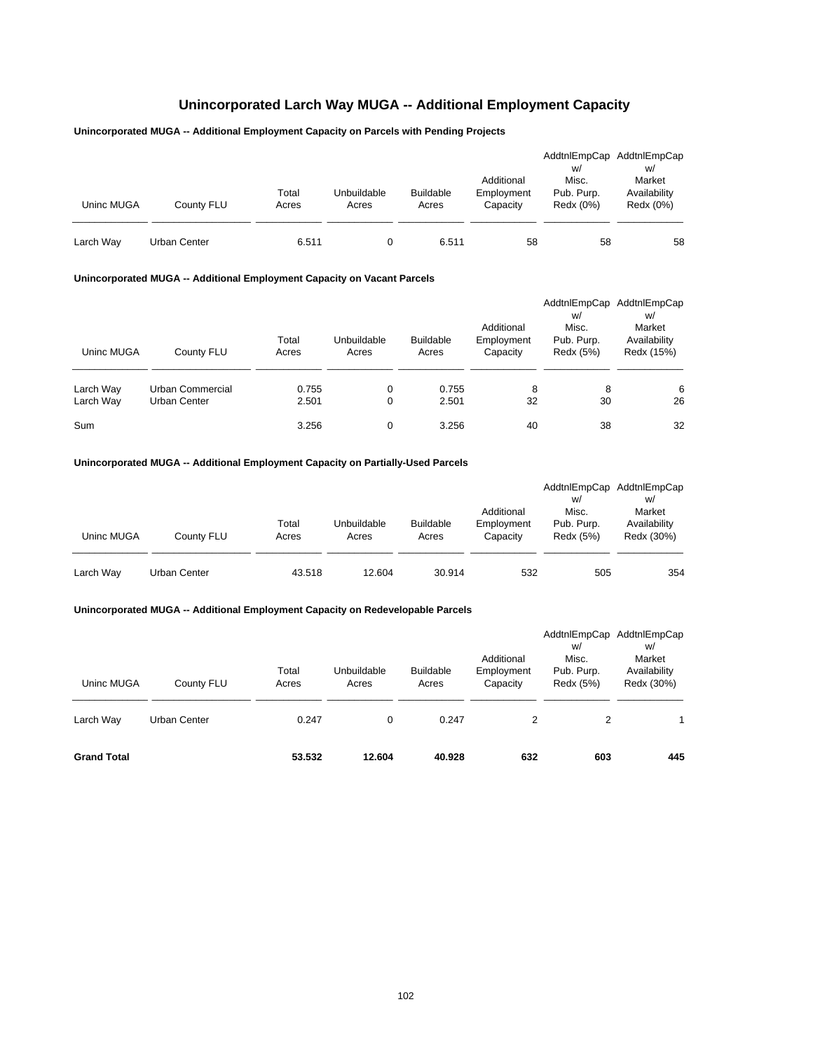## **Unincorporated Larch Way MUGA -- Additional Employment Capacity**

## **Unincorporated MUGA -- Additional Employment Capacity on Parcels with Pending Projects**

| Uninc MUGA | County FLU   | Total<br>Acres | Unbuildable<br>Acres | <b>Buildable</b><br>Acres | Additional<br>Employment<br>Capacity | W/<br>Misc.<br>Pub. Purp.<br>Redx (0%) | AddtnlEmpCap AddtnlEmpCap<br>W/<br>Market<br>Availability<br>Redx (0%) |
|------------|--------------|----------------|----------------------|---------------------------|--------------------------------------|----------------------------------------|------------------------------------------------------------------------|
| Larch Way  | Urban Center | 6.511          |                      | 6.511                     | 58                                   | 58                                     | 58                                                                     |

### **Unincorporated MUGA -- Additional Employment Capacity on Vacant Parcels**

| Uninc MUGA             | County FLU                       | Total<br>Acres | Unbuildable<br>Acres | <b>Buildable</b><br>Acres | Additional<br>Employment<br>Capacity | AddtnlEmpCap<br>w/<br>Misc.<br>Pub. Purp.<br>Redx (5%) | AddtnlEmpCap<br>w/<br>Market<br>Availability<br>Redx (15%) |
|------------------------|----------------------------------|----------------|----------------------|---------------------------|--------------------------------------|--------------------------------------------------------|------------------------------------------------------------|
| Larch Way<br>Larch Way | Urban Commercial<br>Urban Center | 0.755<br>2.501 | 0<br>0               | 0.755<br>2.501            | 8<br>32                              | 8<br>30                                                | 6<br>26                                                    |
| Sum                    |                                  | 3.256          | 0                    | 3.256                     | 40                                   | 38                                                     | 32                                                         |

### **Unincorporated MUGA -- Additional Employment Capacity on Partially-Used Parcels**

| Uninc MUGA | County FLU   | Total<br>Acres | Unbuildable<br>Acres | <b>Buildable</b><br>Acres | Additional<br>Employment<br>Capacity | w/<br>Misc.<br>Pub. Purp.<br>Redx (5%) | AddtnlEmpCap AddtnlEmpCap<br>W/<br>Market<br>Availability<br>Redx (30%) |
|------------|--------------|----------------|----------------------|---------------------------|--------------------------------------|----------------------------------------|-------------------------------------------------------------------------|
| Larch Way  | Urban Center | 43.518         | 12.604               | 30.914                    | 532                                  | 505                                    | 354                                                                     |

| Uninc MUGA         | County FLU   | Total<br>Acres | Unbuildable<br>Acres | <b>Buildable</b><br>Acres | Additional<br>Employment<br>Capacity | w/<br>Misc.<br>Pub. Purp.<br>Redx (5%) | AddtnlEmpCap AddtnlEmpCap<br>w/<br>Market<br>Availability<br>Redx (30%) |
|--------------------|--------------|----------------|----------------------|---------------------------|--------------------------------------|----------------------------------------|-------------------------------------------------------------------------|
| Larch Way          | Urban Center | 0.247          | 0                    | 0.247                     | 2                                    | 2                                      |                                                                         |
| <b>Grand Total</b> |              | 53.532         | 12.604               | 40.928                    | 632                                  | 603                                    | 445                                                                     |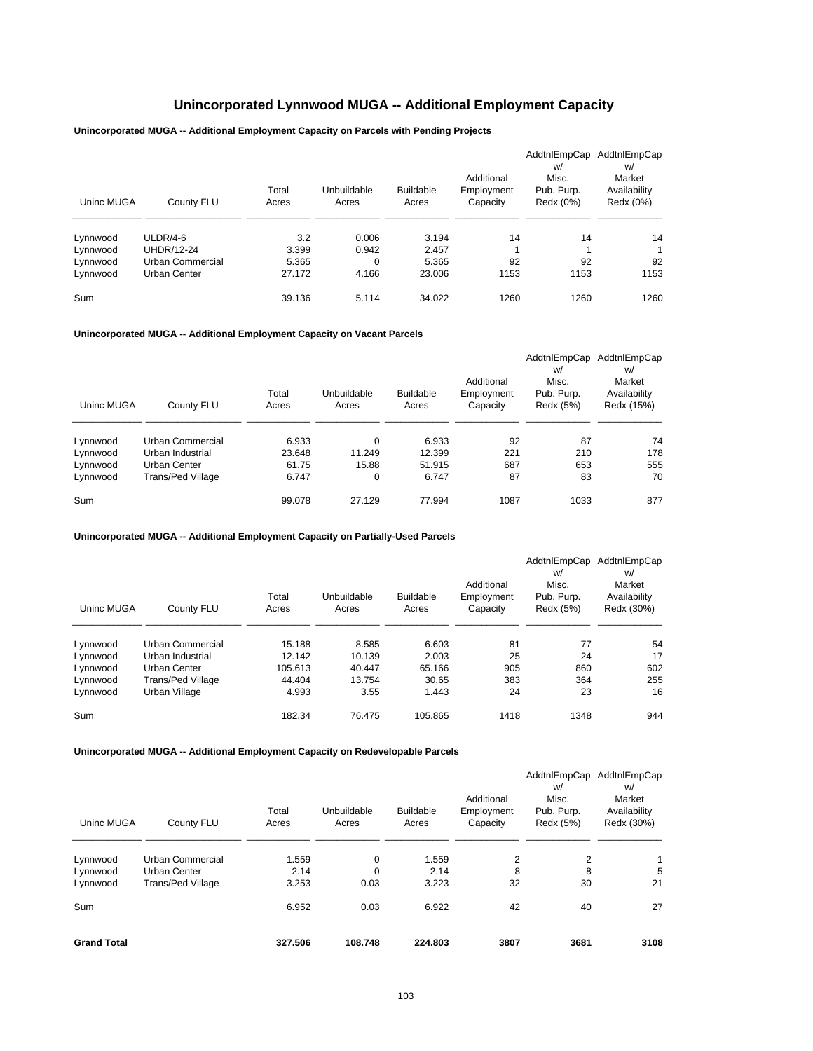## **Unincorporated Lynnwood MUGA -- Additional Employment Capacity**

**Unincorporated MUGA -- Additional Employment Capacity on Parcels with Pending Projects**

| Uninc MUGA | County FLU        | Total<br>Acres | Unbuildable<br>Acres | <b>Buildable</b><br>Acres | Additional<br>Employment<br>Capacity | AddtnlEmpCap<br>w/<br>Misc.<br>Pub. Purp.<br>Redx (0%) | AddtnlEmpCap<br>w/<br>Market<br>Availability<br>Redx (0%) |
|------------|-------------------|----------------|----------------------|---------------------------|--------------------------------------|--------------------------------------------------------|-----------------------------------------------------------|
| Lynnwood   | $ULDR/4-6$        | 3.2            | 0.006                | 3.194                     | 14                                   | 14                                                     | 14                                                        |
| Lynnwood   | <b>UHDR/12-24</b> | 3.399          | 0.942                | 2.457                     | 1                                    |                                                        | 1                                                         |
| Lynnwood   | Urban Commercial  | 5.365          | 0                    | 5.365                     | 92                                   | 92                                                     | 92                                                        |
| Lynnwood   | Urban Center      | 27.172         | 4.166                | 23.006                    | 1153                                 | 1153                                                   | 1153                                                      |
| Sum        |                   | 39.136         | 5.114                | 34.022                    | 1260                                 | 1260                                                   | 1260                                                      |

**Unincorporated MUGA -- Additional Employment Capacity on Vacant Parcels**

| Uninc MUGA | County FLU        | Total<br>Acres | Unbuildable<br>Acres | <b>Buildable</b><br>Acres | Additional<br>Employment<br>Capacity | AddtnlEmpCap<br>w/<br>Misc.<br>Pub. Purp.<br>Redx (5%) | AddtnlEmpCap<br>W/<br>Market<br>Availability<br>Redx (15%) |
|------------|-------------------|----------------|----------------------|---------------------------|--------------------------------------|--------------------------------------------------------|------------------------------------------------------------|
| Lynnwood   | Urban Commercial  | 6.933          | 0                    | 6.933                     | 92                                   | 87                                                     | 74                                                         |
| Lynnwood   | Urban Industrial  | 23.648         | 11.249               | 12.399                    | 221                                  | 210                                                    | 178                                                        |
| Lynnwood   | Urban Center      | 61.75          | 15.88                | 51.915                    | 687                                  | 653                                                    | 555                                                        |
| Lynnwood   | Trans/Ped Village | 6.747          | 0                    | 6.747                     | 87                                   | 83                                                     | 70                                                         |
| Sum        |                   | 99.078         | 27.129               | 77.994                    | 1087                                 | 1033                                                   | 877                                                        |

**Unincorporated MUGA -- Additional Employment Capacity on Partially-Used Parcels**

| Uninc MUGA | County FLU        | Total<br>Acres | Unbuildable<br>Acres | <b>Buildable</b><br>Acres | Additional<br>Employment<br>Capacity | AddtnlEmpCap<br>w/<br>Misc.<br>Pub. Purp.<br>Redx (5%) | AddtnlEmpCap<br>w/<br>Market<br>Availability<br>Redx (30%) |
|------------|-------------------|----------------|----------------------|---------------------------|--------------------------------------|--------------------------------------------------------|------------------------------------------------------------|
| Lynnwood   | Urban Commercial  | 15.188         | 8.585                | 6.603                     | 81                                   | 77                                                     | 54                                                         |
| Lynnwood   | Urban Industrial  | 12.142         | 10.139               | 2.003                     | 25                                   | 24                                                     | 17                                                         |
| Lynnwood   | Urban Center      | 105.613        | 40.447               | 65.166                    | 905                                  | 860                                                    | 602                                                        |
| Lynnwood   | Trans/Ped Village | 44.404         | 13.754               | 30.65                     | 383                                  | 364                                                    | 255                                                        |
| Lynnwood   | Urban Village     | 4.993          | 3.55                 | 1.443                     | 24                                   | 23                                                     | 16                                                         |
| Sum        |                   | 182.34         | 76.475               | 105.865                   | 1418                                 | 1348                                                   | 944                                                        |

| Uninc MUGA           | County FLU                               | Total<br>Acres | Unbuildable<br>Acres | <b>Buildable</b><br>Acres | Additional<br>Employment<br>Capacity | w/<br>Misc.<br>Pub. Purp.<br>Redx (5%) | AddtnlEmpCap AddtnlEmpCap<br>w/<br>Market<br>Availability<br>Redx (30%) |
|----------------------|------------------------------------------|----------------|----------------------|---------------------------|--------------------------------------|----------------------------------------|-------------------------------------------------------------------------|
| Lynnwood             | <b>Urban Commercial</b>                  | 1.559          | 0                    | 1.559                     | $\overline{2}$                       | 2                                      | $\mathbf{1}$                                                            |
| Lynnwood<br>Lynnwood | Urban Center<br><b>Trans/Ped Village</b> | 2.14<br>3.253  | 0<br>0.03            | 2.14<br>3.223             | 8<br>32                              | 8<br>30                                | 5<br>21                                                                 |
| Sum                  |                                          | 6.952          | 0.03                 | 6.922                     | 42                                   | 40                                     | 27                                                                      |
| <b>Grand Total</b>   |                                          | 327.506        | 108.748              | 224.803                   | 3807                                 | 3681                                   | 3108                                                                    |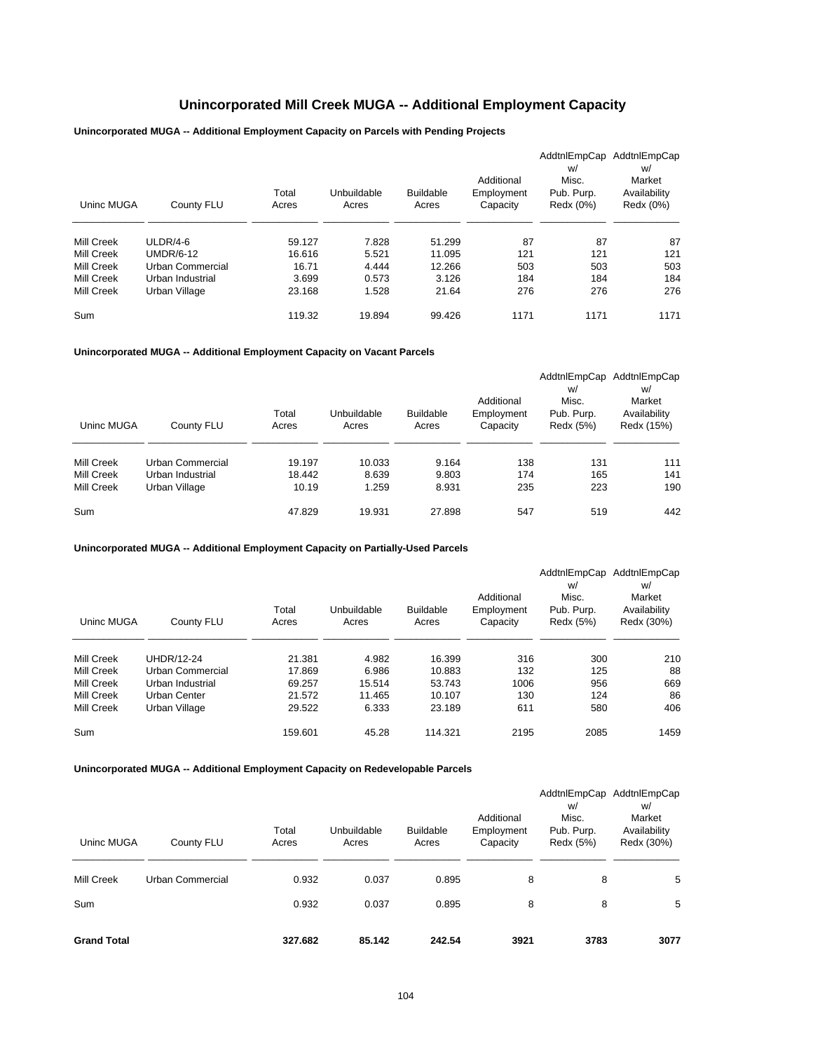## **Unincorporated Mill Creek MUGA -- Additional Employment Capacity**

**Unincorporated MUGA -- Additional Employment Capacity on Parcels with Pending Projects**

| Uninc MUGA | County FLU       | Total<br>Acres | Unbuildable<br>Acres | <b>Buildable</b><br>Acres | Additional<br>Employment<br>Capacity | AddtnlEmpCap<br>w/<br>Misc.<br>Pub. Purp.<br>Redx (0%) | AddtnlEmpCap<br>w/<br>Market<br>Availability<br>Redx (0%) |
|------------|------------------|----------------|----------------------|---------------------------|--------------------------------------|--------------------------------------------------------|-----------------------------------------------------------|
| Mill Creek | $ULDR/4-6$       | 59.127         | 7.828                | 51.299                    | 87                                   | 87                                                     | 87                                                        |
| Mill Creek | <b>UMDR/6-12</b> | 16.616         | 5.521                | 11.095                    | 121                                  | 121                                                    | 121                                                       |
| Mill Creek | Urban Commercial | 16.71          | 4.444                | 12.266                    | 503                                  | 503                                                    | 503                                                       |
| Mill Creek | Urban Industrial | 3.699          | 0.573                | 3.126                     | 184                                  | 184                                                    | 184                                                       |
| Mill Creek | Urban Village    | 23.168         | 1.528                | 21.64                     | 276                                  | 276                                                    | 276                                                       |
| Sum        |                  | 119.32         | 19.894               | 99.426                    | 1171                                 | 1171                                                   | 1171                                                      |

**Unincorporated MUGA -- Additional Employment Capacity on Vacant Parcels**

| Uninc MUGA | County FLU       | Total<br>Acres | Unbuildable<br>Acres | <b>Buildable</b><br>Acres | Additional<br>Employment<br>Capacity | AddtnlEmpCap<br>w/<br>Misc.<br>Pub. Purp.<br>Redx (5%) | AddtnlEmpCap<br>w/<br>Market<br>Availability<br>Redx (15%) |
|------------|------------------|----------------|----------------------|---------------------------|--------------------------------------|--------------------------------------------------------|------------------------------------------------------------|
| Mill Creek | Urban Commercial | 19.197         | 10.033               | 9.164                     | 138                                  | 131                                                    | 111                                                        |
| Mill Creek | Urban Industrial | 18.442         | 8.639                | 9.803                     | 174                                  | 165                                                    | 141                                                        |
| Mill Creek | Urban Village    | 10.19          | 1.259                | 8.931                     | 235                                  | 223                                                    | 190                                                        |
| Sum        |                  | 47.829         | 19.931               | 27.898                    | 547                                  | 519                                                    | 442                                                        |

**Unincorporated MUGA -- Additional Employment Capacity on Partially-Used Parcels**

| Uninc MUGA | County FLU        | Total<br>Acres | Unbuildable<br>Acres | <b>Buildable</b><br>Acres | Additional<br>Employment<br>Capacity | AddtnlEmpCap<br>w/<br>Misc.<br>Pub. Purp.<br>Redx (5%) | AddtnlEmpCap<br>w/<br>Market<br>Availability<br>Redx (30%) |
|------------|-------------------|----------------|----------------------|---------------------------|--------------------------------------|--------------------------------------------------------|------------------------------------------------------------|
| Mill Creek | <b>UHDR/12-24</b> | 21.381         | 4.982                | 16.399                    | 316                                  | 300                                                    | 210                                                        |
| Mill Creek | Urban Commercial  | 17.869         | 6.986                | 10.883                    | 132                                  | 125                                                    | 88                                                         |
| Mill Creek | Urban Industrial  | 69.257         | 15.514               | 53.743                    | 1006                                 | 956                                                    | 669                                                        |
| Mill Creek | Urban Center      | 21.572         | 11.465               | 10.107                    | 130                                  | 124                                                    | 86                                                         |
| Mill Creek | Urban Village     | 29.522         | 6.333                | 23.189                    | 611                                  | 580                                                    | 406                                                        |
| Sum        |                   | 159.601        | 45.28                | 114.321                   | 2195                                 | 2085                                                   | 1459                                                       |

| Uninc MUGA         | County FLU       | Total<br>Acres | Unbuildable<br>Acres | <b>Buildable</b><br>Acres | Additional<br>Employment<br>Capacity | AddtnlEmpCap<br>w/<br>Misc.<br>Pub. Purp.<br>Redx (5%) | AddtnlEmpCap<br>W/<br>Market<br>Availability<br>Redx (30%) |
|--------------------|------------------|----------------|----------------------|---------------------------|--------------------------------------|--------------------------------------------------------|------------------------------------------------------------|
| Mill Creek         | Urban Commercial | 0.932          | 0.037                | 0.895                     | 8                                    | 8                                                      | 5                                                          |
| Sum                |                  | 0.932          | 0.037                | 0.895                     | 8                                    | 8                                                      | 5                                                          |
| <b>Grand Total</b> |                  | 327.682        | 85.142               | 242.54                    | 3921                                 | 3783                                                   | 3077                                                       |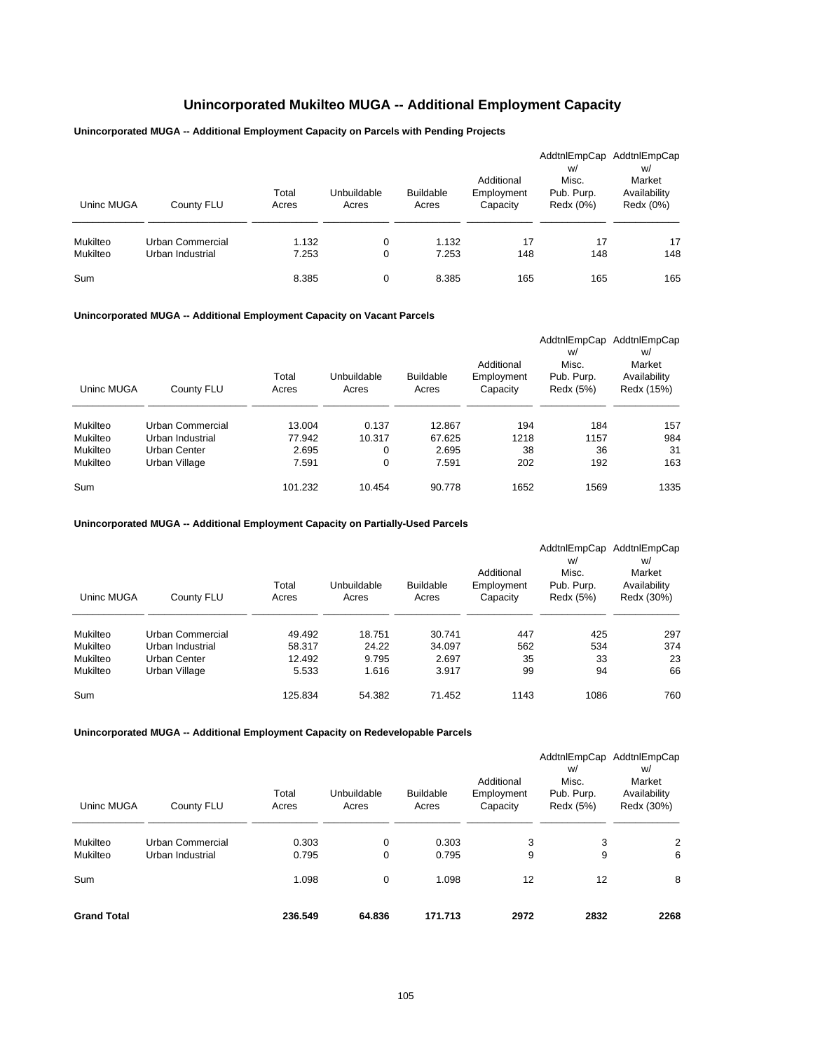## **Unincorporated Mukilteo MUGA -- Additional Employment Capacity**

## **Unincorporated MUGA -- Additional Employment Capacity on Parcels with Pending Projects**

| Uninc MUGA      | County FLU       | Total<br>Acres | Unbuildable<br>Acres | <b>Buildable</b><br>Acres | Additional<br>Employment<br>Capacity | W/<br>Misc.<br>Pub. Purp.<br>Redx (0%) | AddtnlEmpCap AddtnlEmpCap<br>w/<br>Market<br>Availability<br>Redx (0%) |
|-----------------|------------------|----------------|----------------------|---------------------------|--------------------------------------|----------------------------------------|------------------------------------------------------------------------|
| Mukilteo        | Urban Commercial | 1.132          | 0                    | 1.132                     | 17                                   | 17                                     | 17                                                                     |
| Mukilteo<br>Sum | Urban Industrial | 7.253<br>8.385 | 0<br>0               | 7.253<br>8.385            | 148<br>165                           | 148<br>165                             | 148<br>165                                                             |

#### **Unincorporated MUGA -- Additional Employment Capacity on Vacant Parcels**

|            |                  |         |             |                  |            | AddtnlEmpCap | AddtnlEmpCap |
|------------|------------------|---------|-------------|------------------|------------|--------------|--------------|
|            |                  |         |             |                  |            | W/           | w/           |
|            |                  |         |             |                  | Additional | Misc.        | Market       |
|            |                  | Total   | Unbuildable | <b>Buildable</b> | Employment | Pub. Purp.   | Availability |
| Uninc MUGA | County FLU       | Acres   | Acres       | Acres            | Capacity   | Redx (5%)    | Redx (15%)   |
|            |                  |         |             |                  |            |              |              |
| Mukilteo   | Urban Commercial | 13.004  | 0.137       | 12.867           | 194        | 184          | 157          |
| Mukilteo   | Urban Industrial | 77.942  | 10.317      | 67.625           | 1218       | 1157         | 984          |
| Mukilteo   | Urban Center     | 2.695   | 0           | 2.695            | 38         | 36           | 31           |
| Mukilteo   | Urban Village    | 7.591   | 0           | 7.591            | 202        | 192          | 163          |
| Sum        |                  | 101.232 | 10.454      | 90.778           | 1652       | 1569         | 1335         |

#### **Unincorporated MUGA -- Additional Employment Capacity on Partially-Used Parcels**

|            |                  |         |             |                  |            | AddtnlEmpCap | AddtnlEmpCap |
|------------|------------------|---------|-------------|------------------|------------|--------------|--------------|
|            |                  |         |             |                  |            | W/           | w/           |
|            |                  |         |             |                  | Additional | Misc.        | Market       |
|            |                  | Total   | Unbuildable | <b>Buildable</b> | Employment | Pub. Purp.   | Availability |
| Uninc MUGA | County FLU       | Acres   | Acres       | Acres            | Capacity   | Redx (5%)    | Redx (30%)   |
|            |                  |         |             |                  |            |              |              |
| Mukilteo   | Urban Commercial | 49.492  | 18.751      | 30.741           | 447        | 425          | 297          |
| Mukilteo   | Urban Industrial | 58.317  | 24.22       | 34.097           | 562        | 534          | 374          |
| Mukilteo   | Urban Center     | 12.492  | 9.795       | 2.697            | 35         | 33           | 23           |
| Mukilteo   | Urban Village    | 5.533   | 1.616       | 3.917            | 99         | 94           | 66           |
| Sum        |                  | 125.834 | 54.382      | 71.452           | 1143       | 1086         | 760          |

| <b>Grand Total</b> |                  | 236.549        | 64.836               | 171.713                   | 2972                                 | 2832                                                   | 2268                                                       |
|--------------------|------------------|----------------|----------------------|---------------------------|--------------------------------------|--------------------------------------------------------|------------------------------------------------------------|
| Sum                |                  | 1.098          | 0                    | 1.098                     | 12                                   | $12 \overline{ }$                                      | 8                                                          |
| Mukilteo           | Urban Industrial | 0.795          | 0                    | 0.795                     | 9                                    | 9                                                      | 6                                                          |
| Mukilteo           | Urban Commercial | 0.303          | $\mathbf 0$          | 0.303                     | 3                                    | 3                                                      | $\overline{2}$                                             |
| Uninc MUGA         | County FLU       | Total<br>Acres | Unbuildable<br>Acres | <b>Buildable</b><br>Acres | Additional<br>Employment<br>Capacity | AddtnlEmpCap<br>w/<br>Misc.<br>Pub. Purp.<br>Redx (5%) | AddtnlEmpCap<br>W/<br>Market<br>Availability<br>Redx (30%) |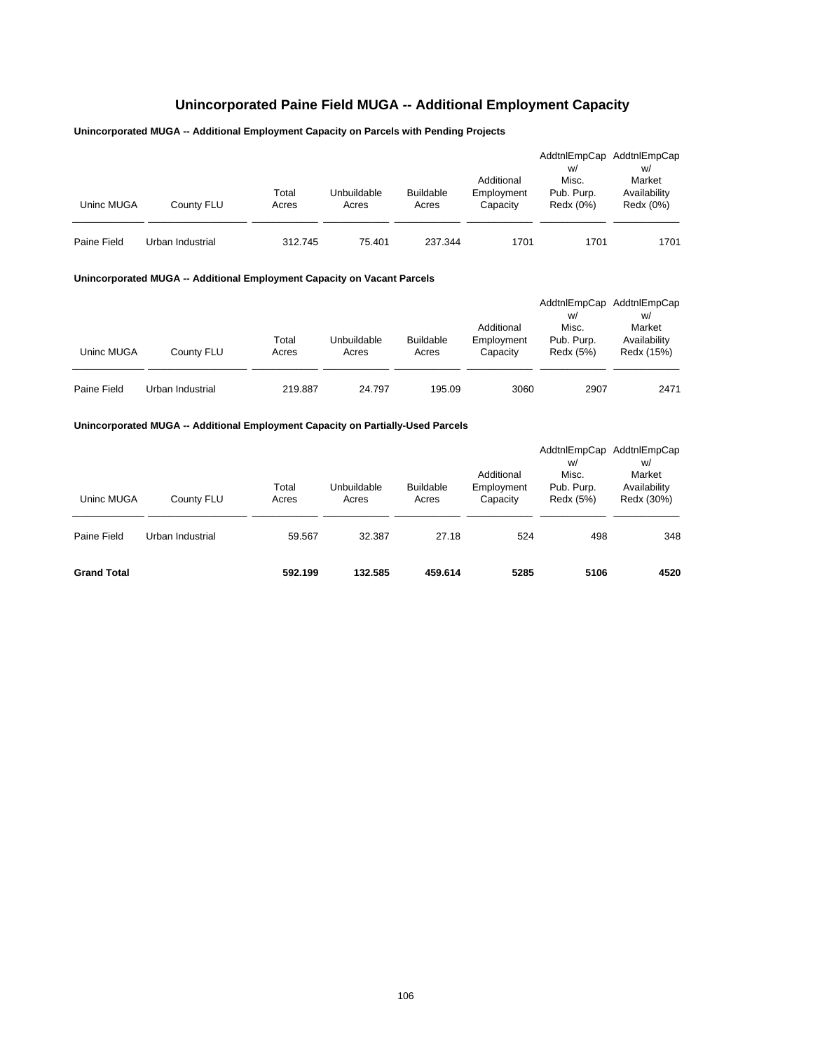## **Unincorporated Paine Field MUGA -- Additional Employment Capacity**

## **Unincorporated MUGA -- Additional Employment Capacity on Parcels with Pending Projects**

| Uninc MUGA  | County FLU       | Total<br>Acres | Unbuildable<br>Acres | <b>Buildable</b><br>Acres | Additional<br>Employment<br>Capacity | W/<br>Misc.<br>Pub. Purp.<br>Redx (0%) | AddtnlEmpCap AddtnlEmpCap<br>W/<br>Market<br>Availability<br>Redx (0%) |
|-------------|------------------|----------------|----------------------|---------------------------|--------------------------------------|----------------------------------------|------------------------------------------------------------------------|
| Paine Field | Urban Industrial | 312.745        | 75.401               | 237.344                   | 1701                                 | 1701                                   | 1701                                                                   |

### **Unincorporated MUGA -- Additional Employment Capacity on Vacant Parcels**

| Uninc MUGA  | County FLU       | Total<br>Acres | Unbuildable<br>Acres | <b>Buildable</b><br>Acres | Additional<br>Employment<br>Capacity | W/<br>Misc.<br>Pub. Purp.<br>Redx (5%) | AddtnlEmpCap AddtnlEmpCap<br>W/<br>Market<br>Availability<br>Redx (15%) |
|-------------|------------------|----------------|----------------------|---------------------------|--------------------------------------|----------------------------------------|-------------------------------------------------------------------------|
| Paine Field | Urban Industrial | 219.887        | 24.797               | 195.09                    | 3060                                 | 2907                                   | 2471                                                                    |

## **Unincorporated MUGA -- Additional Employment Capacity on Partially-Used Parcels**

| <b>Grand Total</b> |                  | 592.199        | 132.585              | 459.614                   | 5285                                 | 5106                                                   | 4520                                                       |
|--------------------|------------------|----------------|----------------------|---------------------------|--------------------------------------|--------------------------------------------------------|------------------------------------------------------------|
| Paine Field        | Urban Industrial | 59.567         | 32.387               | 27.18                     | 524                                  | 498                                                    | 348                                                        |
| Uninc MUGA         | County FLU       | Total<br>Acres | Unbuildable<br>Acres | <b>Buildable</b><br>Acres | Additional<br>Employment<br>Capacity | AddtnlEmpCap<br>W/<br>Misc.<br>Pub. Purp.<br>Redx (5%) | AddtnlEmpCap<br>W/<br>Market<br>Availability<br>Redx (30%) |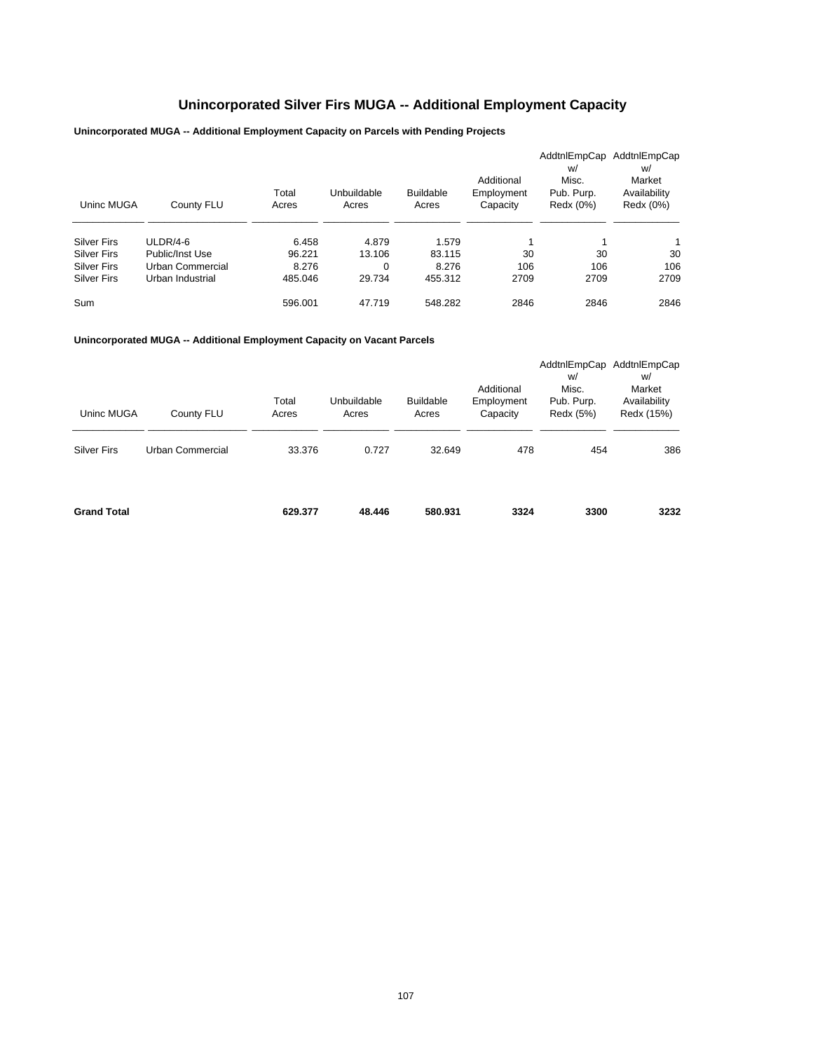# **Unincorporated Silver Firs MUGA -- Additional Employment Capacity**

## **Unincorporated MUGA -- Additional Employment Capacity on Parcels with Pending Projects**

| Uninc MUGA         | County FLU       | Total<br>Acres | Unbuildable<br>Acres | <b>Buildable</b><br>Acres | Additional<br>Employment<br>Capacity | AddtnlEmpCap<br>w/<br>Misc.<br>Pub. Purp.<br>Redx (0%) | AddtnlEmpCap<br>W/<br>Market<br>Availability<br>Redx (0%) |
|--------------------|------------------|----------------|----------------------|---------------------------|--------------------------------------|--------------------------------------------------------|-----------------------------------------------------------|
| <b>Silver Firs</b> | $ULDR/4-6$       | 6.458          | 4.879                | 1.579                     |                                      |                                                        | 1                                                         |
| <b>Silver Firs</b> | Public/Inst Use  | 96.221         | 13.106               | 83.115                    | 30                                   | 30                                                     | 30                                                        |
| <b>Silver Firs</b> | Urban Commercial | 8.276          | 0                    | 8.276                     | 106                                  | 106                                                    | 106                                                       |
| <b>Silver Firs</b> | Urban Industrial | 485.046        | 29.734               | 455.312                   | 2709                                 | 2709                                                   | 2709                                                      |
| Sum                |                  | 596.001        | 47.719               | 548.282                   | 2846                                 | 2846                                                   | 2846                                                      |

**Unincorporated MUGA -- Additional Employment Capacity on Vacant Parcels**

| Uninc MUGA<br><b>Silver Firs</b> | County FLU<br>Urban Commercial | Total<br>Acres<br>33.376 | Unbuildable<br>Acres<br>0.727 | <b>Buildable</b><br>Acres<br>32.649 | Additional<br>Employment<br>Capacity<br>478 | w/<br>Misc.<br>Pub. Purp.<br>Redx (5%)<br>454 | AddtnlEmpCap AddtnlEmpCap<br>w/<br>Market<br>Availability<br>Redx (15%)<br>386 |
|----------------------------------|--------------------------------|--------------------------|-------------------------------|-------------------------------------|---------------------------------------------|-----------------------------------------------|--------------------------------------------------------------------------------|
| <b>Grand Total</b>               |                                | 629.377                  | 48.446                        | 580.931                             | 3324                                        | 3300                                          | 3232                                                                           |